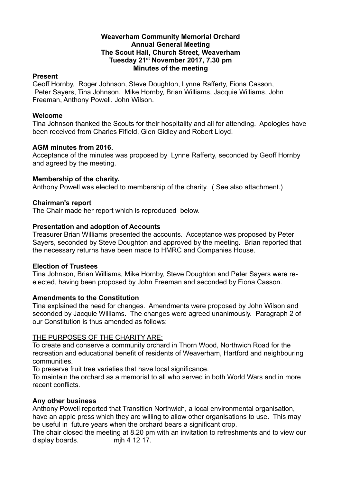## **Weaverham Community Memorial Orchard Annual General Meeting The Scout Hall, Church Street, Weaverham Tuesday 21st November 2017, 7.30 pm Minutes of the meeting**

## **Present**

Geoff Hornby, Roger Johnson, Steve Doughton, Lynne Rafferty, Fiona Casson, Peter Sayers, Tina Johnson, Mike Hornby, Brian Williams, Jacquie Williams, John Freeman, Anthony Powell. John Wilson.

## **Welcome**

Tina Johnson thanked the Scouts for their hospitality and all for attending. Apologies have been received from Charles Fifield, Glen Gidley and Robert Lloyd.

## **AGM minutes from 2016.**

Acceptance of the minutes was proposed by Lynne Rafferty, seconded by Geoff Hornby and agreed by the meeting.

#### **Membership of the charity.**

Anthony Powell was elected to membership of the charity. ( See also attachment.)

#### **Chairman's report**

The Chair made her report which is reproduced below.

## **Presentation and adoption of Accounts**

Treasurer Brian Williams presented the accounts. Acceptance was proposed by Peter Sayers, seconded by Steve Doughton and approved by the meeting. Brian reported that the necessary returns have been made to HMRC and Companies House.

#### **Election of Trustees**

Tina Johnson, Brian Williams, Mike Hornby, Steve Doughton and Peter Sayers were reelected, having been proposed by John Freeman and seconded by Fiona Casson.

#### **Amendments to the Constitution**

Tina explained the need for changes. Amendments were proposed by John Wilson and seconded by Jacquie Williams. The changes were agreed unanimously. Paragraph 2 of our Constitution is thus amended as follows:

## THE PURPOSES OF THE CHARITY ARE:

To create and conserve a community orchard in Thorn Wood, Northwich Road for the recreation and educational benefit of residents of Weaverham, Hartford and neighbouring communities.

To preserve fruit tree varieties that have local significance.

To maintain the orchard as a memorial to all who served in both World Wars and in more recent conflicts.

## **Any other business**

Anthony Powell reported that Transition Northwich, a local environmental organisation, have an apple press which they are willing to allow other organisations to use. This may be useful in future years when the orchard bears a significant crop.

The chair closed the meeting at 8.20 pm with an invitation to refreshments and to view our display boards. mjh 4 12 17.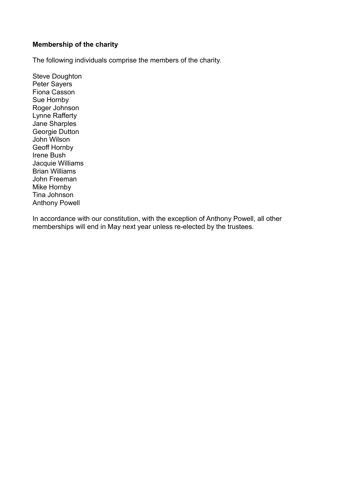## **Membership of the charity**

The following individuals comprise the members of the charity.

Steve Doughton Peter Sayers Fiona Casson Sue Hornby Roger Johnson Lynne Rafferty Jane Sharples Georgie Dutton John Wilson Geoff Hornby Irene Bush Jacquie Williams Brian Williams John Freeman Mike Hornby Tina Johnson Anthony Powell

In accordance with our constitution, with the exception of Anthony Powell, all other memberships will end in May next year unless re-elected by the trustees.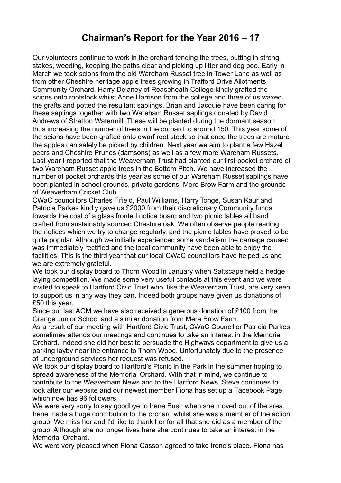# **Chairman's Report for the Year 2016 – 17**

Our volunteers continue to work in the orchard tending the trees, putting in strong stakes, weeding, keeping the paths clear and picking up litter and dog poo. Early in March we took scions from the old Wareham Russet tree in Tower Lane as well as from other Cheshire heritage apple trees growing in Trafford Drive Allotments Community Orchard. Harry Delaney of Reaseheath College kindly grafted the scions onto rootstock whilst Anne Harrison from the college and three of us waxed the grafts and potted the resultant saplings. Brian and Jacquie have been caring for these saplings together with two Wareham Russet saplings donated by David Andrews of Stretton Watermill. These will be planted during the dormant season thus increasing the number of trees in the orchard to around 150. This year some of the scions have been grafted onto dwarf root stock so that once the trees are mature the apples can safely be picked by children. Next year we aim to plant a few Hazel pears and Cheshire Prunes (damsons) as well as a few more Wareham Russets. Last year I reported that the Weaverham Trust had planted our first pocket orchard of two Wareham Russet apple trees in the Bottom Pitch. We have increased the number of pocket orchards this year as some of our Wareham Russet saplings have been planted in school grounds, private gardens, Mere Brow Farm and the grounds of Weaverham Cricket Club

CWaC councillors Charles Fifield, Paul Williams, Harry Tonge, Susan Kaur and Patricia Parkes kindly gave us £2000 from their discretionary Community funds towards the cost of a glass fronted notice board and two picnic tables all hand crafted from sustainably sourced Cheshire oak. We often observe people reading the notices which we try to change regularly, and the picnic tables have proved to be quite popular. Although we initially experienced some vandalism the damage caused was immediately rectified and the local community have been able to enjoy the facilities. This is the third year that our local CWaC councillors have helped us and we are extremely grateful.

We took our display board to Thorn Wood in January when Saltscape held a hedge laying competition. We made some very useful contacts at this event and we were invited to speak to Hartford Civic Trust who, like the Weaverham Trust, are very keen to support us in any way they can. Indeed both groups have given us donations of £50 this year.

Since our last AGM we have also received a generous donation of £100 from the Grange Junior School and a similar donation from Mere Brow Farm.

As a result of our meeting with Hartford Civic Trust, CWaC Councillor Patricia Parkes sometimes attends our meetings and continues to take an interest in the Memorial Orchard. Indeed she did her best to persuade the Highways department to give us a parking layby near the entrance to Thorn Wood. Unfortunately due to the presence of underground services her request was refused.

We took our display board to Hartford's Picnic in the Park in the summer hoping to spread awareness of the Memorial Orchard. With that in mind, we continue to contribute to the Weaverham News and to the Hartford News. Steve continues to look after our website and our newest member Fiona has set up a Facebook Page which now has 96 followers.

We were very sorry to say goodbye to Irene Bush when she moved out of the area. Irene made a huge contribution to the orchard whilst she was a member of the action group. We miss her and I'd like to thank her for all that she did as a member of the group. Although she no longer lives here she continues to take an interest in the Memorial Orchard.

We were very pleased when Fiona Casson agreed to take Irene's place. Fiona has